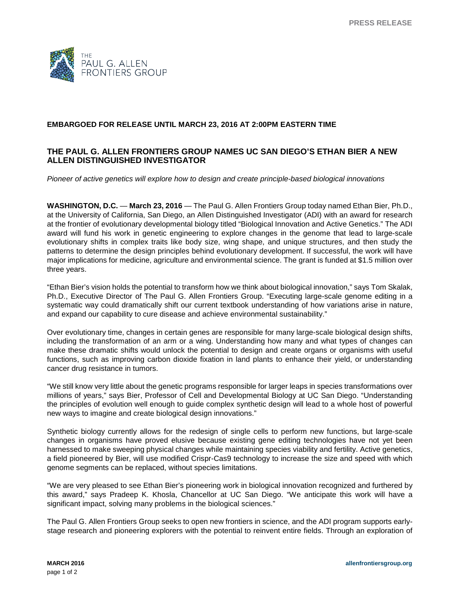

## **EMBARGOED FOR RELEASE UNTIL MARCH 23, 2016 AT 2:00PM EASTERN TIME**

## **THE PAUL G. ALLEN FRONTIERS GROUP NAMES UC SAN DIEGO'S ETHAN BIER A NEW ALLEN DISTINGUISHED INVESTIGATOR**

*Pioneer of active genetics will explore how to design and create principle-based biological innovations*

**WASHINGTON, D.C.** — **March 23, 2016** — The Paul G. Allen Frontiers Group today named Ethan Bier, Ph.D., at the University of California, San Diego, an Allen Distinguished Investigator (ADI) with an award for research at the frontier of evolutionary developmental biology titled "Biological Innovation and Active Genetics." The ADI award will fund his work in genetic engineering to explore changes in the genome that lead to large-scale evolutionary shifts in complex traits like body size, wing shape, and unique structures, and then study the patterns to determine the design principles behind evolutionary development. If successful, the work will have major implications for medicine, agriculture and environmental science. The grant is funded at \$1.5 million over three years.

"Ethan Bier's vision holds the potential to transform how we think about biological innovation," says Tom Skalak, Ph.D., Executive Director of The Paul G. Allen Frontiers Group. "Executing large-scale genome editing in a systematic way could dramatically shift our current textbook understanding of how variations arise in nature, and expand our capability to cure disease and achieve environmental sustainability."

Over evolutionary time, changes in certain genes are responsible for many large-scale biological design shifts, including the transformation of an arm or a wing. Understanding how many and what types of changes can make these dramatic shifts would unlock the potential to design and create organs or organisms with useful functions, such as improving carbon dioxide fixation in land plants to enhance their yield, or understanding cancer drug resistance in tumors.

"We still know very little about the genetic programs responsible for larger leaps in species transformations over millions of years," says Bier, Professor of Cell and Developmental Biology at UC San Diego. "Understanding the principles of evolution well enough to guide complex synthetic design will lead to a whole host of powerful new ways to imagine and create biological design innovations."

Synthetic biology currently allows for the redesign of single cells to perform new functions, but large-scale changes in organisms have proved elusive because existing gene editing technologies have not yet been harnessed to make sweeping physical changes while maintaining species viability and fertility. Active genetics, a field pioneered by Bier, will use modified Crispr-Cas9 technology to increase the size and speed with which genome segments can be replaced, without species limitations.

"We are very pleased to see Ethan Bier's pioneering work in biological innovation recognized and furthered by this award," says Pradeep K. Khosla, Chancellor at UC San Diego. "We anticipate this work will have a significant impact, solving many problems in the biological sciences."

The Paul G. Allen Frontiers Group seeks to open new frontiers in science, and the ADI program supports earlystage research and pioneering explorers with the potential to reinvent entire fields. Through an exploration of